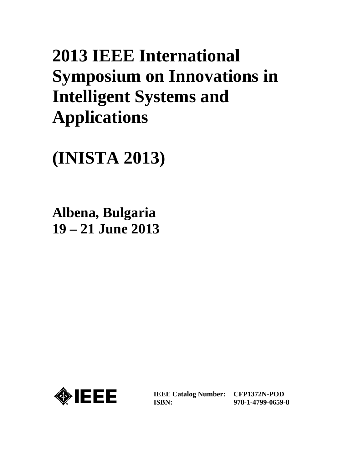# **2013 IEEE International Symposium on Innovations in Intelligent Systems and Applications**

**(INISTA 2013)**

**Albena, Bulgaria 19 – 21 June 2013**



**IEEE Catalog Number: CFP1372N-POD ISBN:** 

**978-1-4799-0659-8**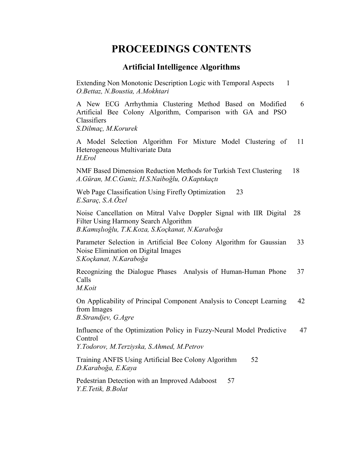# **PROCEEDINGS CONTENTS**

# **Artificial Intelligence Algorithms**

Extending Non Monotonic Description Logic with Temporal Aspects 1 *O.Bettaz, N.Boustia, A.Mokhtari* 

A New ECG Arrhythmia Clustering Method Based on Modified 6 Artificial Bee Colony Algorithm, Comparison with GA and PSO Classifiers

*S.Dilmaç, M.Korurek* 

A Model Selection Algorithm For Mixture Model Clustering of 11 Heterogeneous Multivariate Data *H.Erol* 

NMF Based Dimension Reduction Methods for Turkish Text Clustering 18 *A.Güran, M.C.Ganiz, H.S.Naiboğlu, O.Kaptıkaçtı*

Web Page Classification Using Firefly Optimization 23 *E.Saraç, S.A.Özel* 

Noise Cancellation on Mitral Valve Doppler Signal with IIR Digital 28 Filter Using Harmony Search Algorithm *B.Kamışlıoğlu, T.K.Koza, S.Koçkanat, N.Karaboğa* 

Parameter Selection in Artificial Bee Colony Algorithm for Gaussian 33 Noise Elimination on Digital Images *S.Koçkanat, N.Karaboğa* 

Recognizing the Dialogue Phases Analysis of Human-Human Phone 37 Calls *M.Koit* 

On Applicability of Principal Component Analysis to Concept Learning 42 from Images *B.Strandjev, G.Agre* 

Influence of the Optimization Policy in Fuzzy-Neural Model Predictive 47 Control

*Y.Todorov, M.Terziyska, S.Ahmed, M.Petrov* 

Training ANFIS Using Artificial Bee Colony Algorithm 52 *D.Karaboğa, E.Kaya* 

Pedestrian Detection with an Improved Adaboost 57 *Y.E.Tetik, B.Bolat*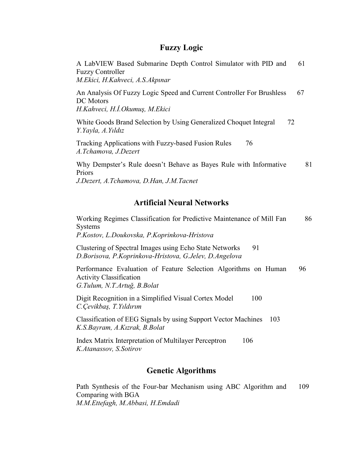#### **Fuzzy Logic**

A LabVIEW Based Submarine Depth Control Simulator with PID and 61 Fuzzy Controller *M.Ekici, H.Kahveci, A.S.Akpınar* 

An Analysis Of Fuzzy Logic Speed and Current Controller For Brushless 67 DC Motors *H.Kahveci, H.İ.Okumuş, M.Ekici* 

White Goods Brand Selection by Using Generalized Choquet Integral 72 *Y.Yayla, A.Yıldız* 

Tracking Applications with Fuzzy-based Fusion Rules 76 *A.Tchamova, J.Dezert* 

Why Dempster's Rule doesn't Behave as Bayes Rule with Informative 81 Priors *J.Dezert, A.Tchamova, D.Han, J.M.Tacnet* 

## **Artificial Neural Networks**

Working Regimes Classification for Predictive Maintenance of Mill Fan 86 Systems *P.Kostov, L.Doukovska, P.Koprinkova-Hristova* 

Clustering of Spectral Images using Echo State Networks 91 *D.Borisova, P.Koprinkova-Hristova, G.Jelev, D.Angelova* 

Performance Evaluation of Feature Selection Algorithms on Human 96 Activity Classification *G.Tulum, N.T.Artuğ, B.Bolat* 

Digit Recognition in a Simplified Visual Cortex Model 100 *C.Çevikbaş, T.Yıldırım* 

Classification of EEG Signals by using Support Vector Machines 103 *K.S.Bayram, A.Kızrak, B.Bolat* 

Index Matrix Interpretation of Multilayer Perceptron 106 *K.Atanassov, S.Sotirov*

#### **Genetic Algorithms**

Path Synthesis of the Four-bar Mechanism using ABC Algorithm and 109 Comparing with BGA *M.M.Ettefagh, M.Abbasi, H.Emdadi*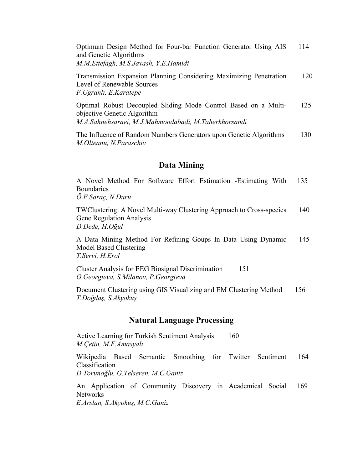Optimum Design Method for Four-bar Function Generator Using AIS 114 and Genetic Algorithms *M.M.Ettefagh, M.S.Javash, Y.E.Hamidi* 

Transmission Expansion Planning Considering Maximizing Penetration 120 Level of Renewable Sources *F.Ugranlı, E.Karatepe* 

Optimal Robust Decoupled Sliding Mode Control Based on a Multi- 125 objective Genetic Algorithm *M.A.Sahnehsaraei, M.J.Mahmoodabadi, M.Taherkhorsandi* 

The Influence of Random Numbers Generators upon Genetic Algorithms 130 *M.Olteanu, N.Paraschiv* 

#### **Data Mining**

A Novel Method For Software Effort Estimation -Estimating With 135 **Boundaries** 

*Ö.F.Saraç, N.Duru* 

TWClustering: A Novel Multi-way Clustering Approach to Cross-species 140 Gene Regulation Analysis *D.Dede, H.Oğul* 

A Data Mining Method For Refining Goups In Data Using Dynamic 145 Model Based Clustering *T.Servi, H.Erol* 

Cluster Analysis for EEG Biosignal Discrimination 151 *O.Georgieva, S.Milanov, P.Georgieva* 

Document Clustering using GIS Visualizing and EM Clustering Method 156 *T.Doğdaş, S.Akyokuş*

#### **Natural Language Processing**

Active Learning for Turkish Sentiment Analysis 160 *M.Çetin, M.F.Amasyalı*

Wikipedia Based Semantic Smoothing for Twitter Sentiment 164 Classification

*D.Torunoğlu, G.Telseren, M.C.Ganiz* 

An Application of Community Discovery in Academical Social 169 **Networks** 

*E.Arslan, S.Akyokuş, M.C.Ganiz*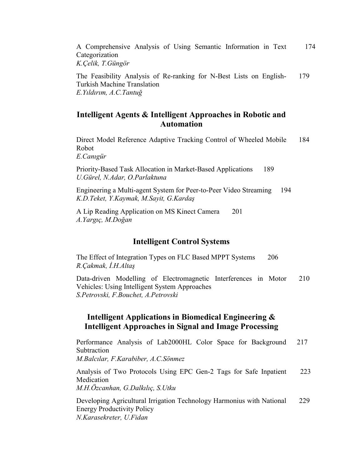A Comprehensive Analysis of Using Semantic Information in Text 174 Categorization *K.Çelik, T.Güngör* 

The Feasibility Analysis of Re-ranking for N-Best Lists on English- 179 Turkish Machine Translation *E.Yıldırım, A.C.Tantuğ*

# **Intelligent Agents & Intelligent Approaches in Robotic and Automation**

Direct Model Reference Adaptive Tracking Control of Wheeled Mobile 184 Robot

*E.Canıgür* 

Priority-Based Task Allocation in Market-Based Applications 189 *U.Gürel, N.Adar, O.Parlaktuna* 

Engineering a Multi-agent System for Peer-to-Peer Video Streaming 194 *K.D.Teket, Y.Kaymak, M.Sayit, G.Kardaş*

A Lip Reading Application on MS Kinect Camera 201 *A.Yargıç, M.Doğan* 

#### **Intelligent Control Systems**

The Effect of Integration Types on FLC Based MPPT Systems 206 *R.Çakmak, İ.H.Altaş*

Data-driven Modelling of Electromagnetic Interferences in Motor 210 Vehicles: Using Intelligent System Approaches *S.Petrovski, F.Bouchet, A.Petrovski* 

# **Intelligent Applications in Biomedical Engineering & Intelligent Approaches in Signal and Image Processing**

Performance Analysis of Lab2000HL Color Space for Background 217 **Subtraction** 

*M.Balcılar, F.Karabiber, A.C.Sönmez* 

Analysis of Two Protocols Using EPC Gen-2 Tags for Safe Inpatient 223 Medication *M.H.Özcanhan, G.Dalkılıç, S.Utku* 

Developing Agricultural Irrigation Technology Harmonius with National 229 Energy Productivity Policy *N.Karasekreter, U.Fidan*